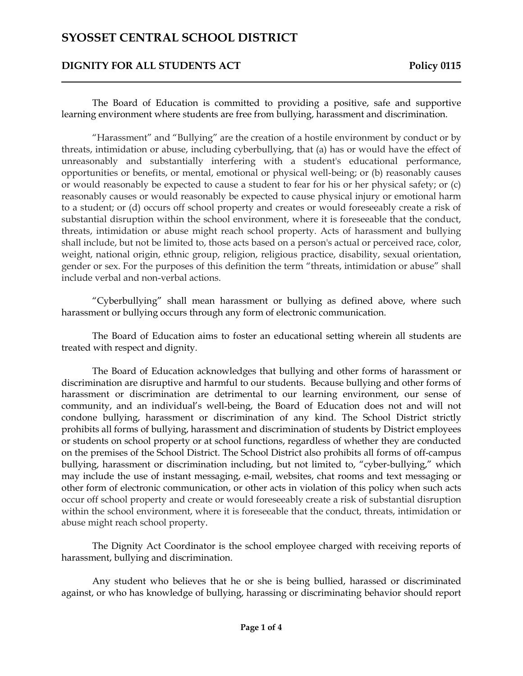#### **DIGNITY FOR ALL STUDENTS ACT** Policy 0115

The Board of Education is committed to providing a positive, safe and supportive learning environment where students are free from bullying, harassment and discrimination.

"Harassment" and "Bullying" are the creation of a hostile environment by conduct or by threats, intimidation or abuse, including cyberbullying, that (a) has or would have the effect of unreasonably and substantially interfering with a student's educational performance, opportunities or benefits, or mental, emotional or physical well-being; or (b) reasonably causes or would reasonably be expected to cause a student to fear for his or her physical safety; or (c) reasonably causes or would reasonably be expected to cause physical injury or emotional harm to a student; or (d) occurs off school property and creates or would foreseeably create a risk of substantial disruption within the school environment, where it is foreseeable that the conduct, threats, intimidation or abuse might reach school property. Acts of harassment and bullying shall include, but not be limited to, those acts based on a person's actual or perceived race, color, weight, national origin, ethnic group, religion, religious practice, disability, sexual orientation, gender or sex. For the purposes of this definition the term "threats, intimidation or abuse" shall include verbal and non-verbal actions.

"Cyberbullying" shall mean harassment or bullying as defined above, where such harassment or bullying occurs through any form of electronic communication.

The Board of Education aims to foster an educational setting wherein all students are treated with respect and dignity.

The Board of Education acknowledges that bullying and other forms of harassment or discrimination are disruptive and harmful to our students. Because bullying and other forms of harassment or discrimination are detrimental to our learning environment, our sense of community, and an individual's well-being, the Board of Education does not and will not condone bullying, harassment or discrimination of any kind. The School District strictly prohibits all forms of bullying, harassment and discrimination of students by District employees or students on school property or at school functions, regardless of whether they are conducted on the premises of the School District. The School District also prohibits all forms of off-campus bullying, harassment or discrimination including, but not limited to, "cyber-bullying," which may include the use of instant messaging, e-mail, websites, chat rooms and text messaging or other form of electronic communication, or other acts in violation of this policy when such acts occur off school property and create or would foreseeably create a risk of substantial disruption within the school environment, where it is foreseeable that the conduct, threats, intimidation or abuse might reach school property.

The Dignity Act Coordinator is the school employee charged with receiving reports of harassment, bullying and discrimination.

Any student who believes that he or she is being bullied, harassed or discriminated against, or who has knowledge of bullying, harassing or discriminating behavior should report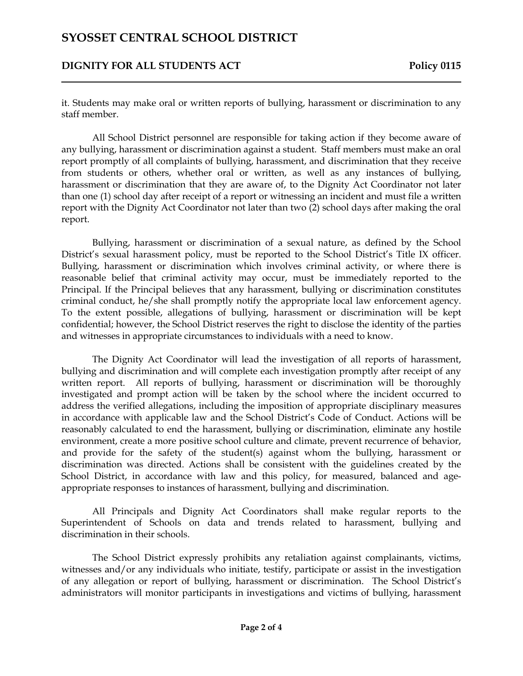#### **DIGNITY FOR ALL STUDENTS ACT** Policy 0115

it. Students may make oral or written reports of bullying, harassment or discrimination to any staff member.

All School District personnel are responsible for taking action if they become aware of any bullying, harassment or discrimination against a student. Staff members must make an oral report promptly of all complaints of bullying, harassment, and discrimination that they receive from students or others, whether oral or written, as well as any instances of bullying, harassment or discrimination that they are aware of, to the Dignity Act Coordinator not later than one (1) school day after receipt of a report or witnessing an incident and must file a written report with the Dignity Act Coordinator not later than two (2) school days after making the oral report.

Bullying, harassment or discrimination of a sexual nature, as defined by the School District's sexual harassment policy, must be reported to the School District's Title IX officer. Bullying, harassment or discrimination which involves criminal activity, or where there is reasonable belief that criminal activity may occur, must be immediately reported to the Principal. If the Principal believes that any harassment, bullying or discrimination constitutes criminal conduct, he/she shall promptly notify the appropriate local law enforcement agency. To the extent possible, allegations of bullying, harassment or discrimination will be kept confidential; however, the School District reserves the right to disclose the identity of the parties and witnesses in appropriate circumstances to individuals with a need to know.

The Dignity Act Coordinator will lead the investigation of all reports of harassment, bullying and discrimination and will complete each investigation promptly after receipt of any written report. All reports of bullying, harassment or discrimination will be thoroughly investigated and prompt action will be taken by the school where the incident occurred to address the verified allegations, including the imposition of appropriate disciplinary measures in accordance with applicable law and the School District's Code of Conduct. Actions will be reasonably calculated to end the harassment, bullying or discrimination, eliminate any hostile environment, create a more positive school culture and climate, prevent recurrence of behavior, and provide for the safety of the student(s) against whom the bullying, harassment or discrimination was directed. Actions shall be consistent with the guidelines created by the School District, in accordance with law and this policy, for measured, balanced and ageappropriate responses to instances of harassment, bullying and discrimination.

All Principals and Dignity Act Coordinators shall make regular reports to the Superintendent of Schools on data and trends related to harassment, bullying and discrimination in their schools.

The School District expressly prohibits any retaliation against complainants, victims, witnesses and/or any individuals who initiate, testify, participate or assist in the investigation of any allegation or report of bullying, harassment or discrimination. The School District's administrators will monitor participants in investigations and victims of bullying, harassment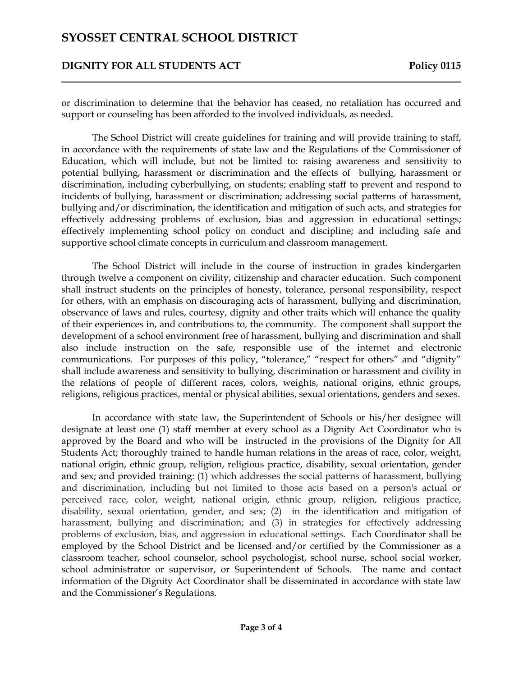#### **DIGNITY FOR ALL STUDENTS ACT** Policy 0115

or discrimination to determine that the behavior has ceased, no retaliation has occurred and support or counseling has been afforded to the involved individuals, as needed.

The School District will create guidelines for training and will provide training to staff, in accordance with the requirements of state law and the Regulations of the Commissioner of Education, which will include, but not be limited to: raising awareness and sensitivity to potential bullying, harassment or discrimination and the effects of bullying, harassment or discrimination, including cyberbullying, on students; enabling staff to prevent and respond to incidents of bullying, harassment or discrimination; addressing social patterns of harassment, bullying and/or discrimination, the identification and mitigation of such acts, and strategies for effectively addressing problems of exclusion, bias and aggression in educational settings; effectively implementing school policy on conduct and discipline; and including safe and supportive school climate concepts in curriculum and classroom management.

The School District will include in the course of instruction in grades kindergarten through twelve a component on civility, citizenship and character education. Such component shall instruct students on the principles of honesty, tolerance, personal responsibility, respect for others, with an emphasis on discouraging acts of harassment, bullying and discrimination, observance of laws and rules, courtesy, dignity and other traits which will enhance the quality of their experiences in, and contributions to, the community. The component shall support the development of a school environment free of harassment, bullying and discrimination and shall also include instruction on the safe, responsible use of the internet and electronic communications. For purposes of this policy, "tolerance," "respect for others" and "dignity" shall include awareness and sensitivity to bullying, discrimination or harassment and civility in the relations of people of different races, colors, weights, national origins, ethnic groups, religions, religious practices, mental or physical abilities, sexual orientations, genders and sexes.

In accordance with state law, the Superintendent of Schools or his/her designee will designate at least one (1) staff member at every school as a Dignity Act Coordinator who is approved by the Board and who will be instructed in the provisions of the Dignity for All Students Act; thoroughly trained to handle human relations in the areas of race, color, weight, national origin, ethnic group, religion, religious practice, disability, sexual orientation, gender and sex; and provided training: (1) which addresses the social patterns of harassment, bullying and discrimination, including but not limited to those acts based on a person's actual or perceived race, color, weight, national origin, ethnic group, religion, religious practice, disability, sexual orientation, gender, and sex; (2) in the identification and mitigation of harassment, bullying and discrimination; and (3) in strategies for effectively addressing problems of exclusion, bias, and aggression in educational settings. Each Coordinator shall be employed by the School District and be licensed and/or certified by the Commissioner as a classroom teacher, school counselor, school psychologist, school nurse, school social worker, school administrator or supervisor, or Superintendent of Schools. The name and contact information of the Dignity Act Coordinator shall be disseminated in accordance with state law and the Commissioner's Regulations.